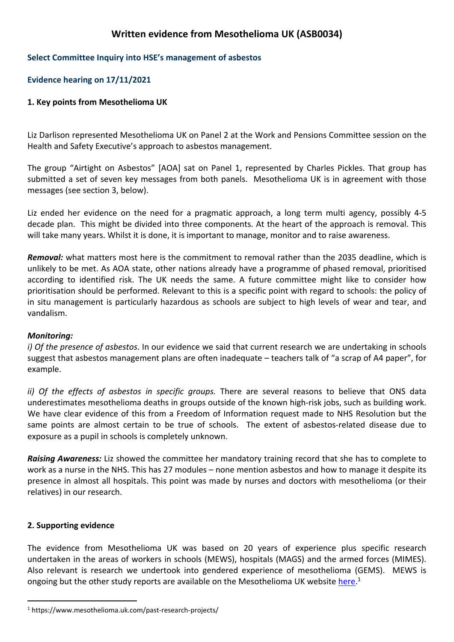# **Written evidence from Mesothelioma UK (ASB0034)**

#### **Select Committee Inquiry into HSE's management of asbestos**

#### **Evidence hearing on 17/11/2021**

#### **1. Key points from Mesothelioma UK**

Liz Darlison represented Mesothelioma UK on Panel 2 at the Work and Pensions Committee session on the Health and Safety Executive's approach to asbestos management.

The group "Airtight on Asbestos" [AOA] sat on Panel 1, represented by Charles Pickles. That group has submitted a set of seven key messages from both panels. Mesothelioma UK is in agreement with those messages (see section 3, below).

Liz ended her evidence on the need for a pragmatic approach, a long term multi agency, possibly 4-5 decade plan. This might be divided into three components. At the heart of the approach is removal. This will take many years. Whilst it is done, it is important to manage, monitor and to raise awareness.

*Removal:* what matters most here is the commitment to removal rather than the 2035 deadline, which is unlikely to be met. As AOA state, other nations already have a programme of phased removal, prioritised according to identified risk. The UK needs the same. A future committee might like to consider how prioritisation should be performed. Relevant to this is a specific point with regard to schools: the policy of in situ management is particularly hazardous as schools are subject to high levels of wear and tear, and vandalism.

#### *Monitoring:*

*i) Of the presence of asbestos*. In our evidence we said that current research we are undertaking in schools suggest that asbestos management plans are often inadequate – teachers talk of "a scrap of A4 paper", for example.

*ii) Of the effects of asbestos in specific groups.* There are several reasons to believe that ONS data underestimates mesothelioma deaths in groups outside of the known high-risk jobs, such as building work. We have clear evidence of this from a Freedom of Information request made to NHS Resolution but the same points are almost certain to be true of schools. The extent of asbestos-related disease due to exposure as a pupil in schools is completely unknown.

*Raising Awareness:* Liz showed the committee her mandatory training record that she has to complete to work as a nurse in the NHS. This has 27 modules – none mention asbestos and how to manage it despite its presence in almost all hospitals. This point was made by nurses and doctors with mesothelioma (or their relatives) in our research.

#### **2. Supporting evidence**

The evidence from Mesothelioma UK was based on 20 years of experience plus specific research undertaken in the areas of workers in schools (MEWS), hospitals (MAGS) and the armed forces (MIMES). Also relevant is research we undertook into gendered experience of mesothelioma (GEMS). MEWS is ongoing but the other study reports are available on the Mesothelioma UK website [here](https://www.mesothelioma.uk.com/past-research-projects/).<sup>1</sup>

<sup>1</sup> https://www.mesothelioma.uk.com/past-research-projects/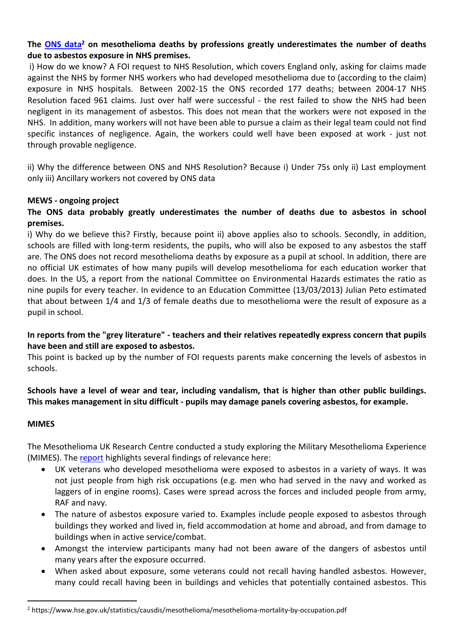# **The [ONS](https://www.hse.gov.uk/statistics/causdis/mesothelioma/mesothelioma-mortality-by-occupation.pdf) [data](https://www.hse.gov.uk/statistics/causdis/mesothelioma/mesothelioma-mortality-by-occupation.pdf)<sup>2</sup> on mesothelioma deaths by professions greatly underestimates the number of deaths due to asbestos exposure in NHS premises.**

i) How do we know? A FOI request to NHS Resolution, which covers England only, asking for claims made against the NHS by former NHS workers who had developed mesothelioma due to (according to the claim) exposure in NHS hospitals. Between 2002-15 the ONS recorded 177 deaths; between 2004-17 NHS Resolution faced 961 claims. Just over half were successful - the rest failed to show the NHS had been negligent in its management of asbestos. This does not mean that the workers were not exposed in the NHS. In addition, many workers will not have been able to pursue a claim as their legal team could not find specific instances of negligence. Again, the workers could well have been exposed at work - just not through provable negligence.

ii) Why the difference between ONS and NHS Resolution? Because i) Under 75s only ii) Last employment only iii) Ancillary workers not covered by ONS data

### **MEWS - ongoing project**

# **The ONS data probably greatly underestimates the number of deaths due to asbestos in school premises.**

i) Why do we believe this? Firstly, because point ii) above applies also to schools. Secondly, in addition, schools are filled with long-term residents, the pupils, who will also be exposed to any asbestos the staff are. The ONS does not record mesothelioma deaths by exposure as a pupil at school. In addition, there are no official UK estimates of how many pupils will develop mesothelioma for each education worker that does. In the US, a report from the national Committee on Environmental Hazards estimates the ratio as nine pupils for every teacher. In evidence to an Education Committee (13/03/2013) Julian Peto estimated that about between 1/4 and 1/3 of female deaths due to mesothelioma were the result of exposure as a pupil in school.

### **In reports from the "grey literature" - teachers and their relatives repeatedly express concern that pupils have been and still are exposed to asbestos.**

This point is backed up by the number of FOI requests parents make concerning the levels of asbestos in schools.

### **Schools have a level of wear and tear, including vandalism, that is higher than other public buildings. This makes management in situ difficult - pupils may damage panels covering asbestos, for example.**

### **MIMES**

The Mesothelioma UK Research Centre conducted a study exploring the Military Mesothelioma Experience (MIMES). The [report](https://www.mesothelioma.uk.com/wp-content/uploads/dlm_uploads/2021/02/MiMES_Report_FINAL.pdf) highlights several findings of relevance here:

- UK veterans who developed mesothelioma were exposed to asbestos in a variety of ways. It was not just people from high risk occupations (e.g. men who had served in the navy and worked as laggers of in engine rooms). Cases were spread across the forces and included people from army, RAF and navy.
- The nature of asbestos exposure varied to. Examples include people exposed to asbestos through buildings they worked and lived in, field accommodation at home and abroad, and from damage to buildings when in active service/combat.
- Amongst the interview participants many had not been aware of the dangers of asbestos until many years after the exposure occurred.
- When asked about exposure, some veterans could not recall having handled asbestos. However, many could recall having been in buildings and vehicles that potentially contained asbestos. This

<sup>2</sup> https://www.hse.gov.uk/statistics/causdis/mesothelioma/mesothelioma-mortality-by-occupation.pdf